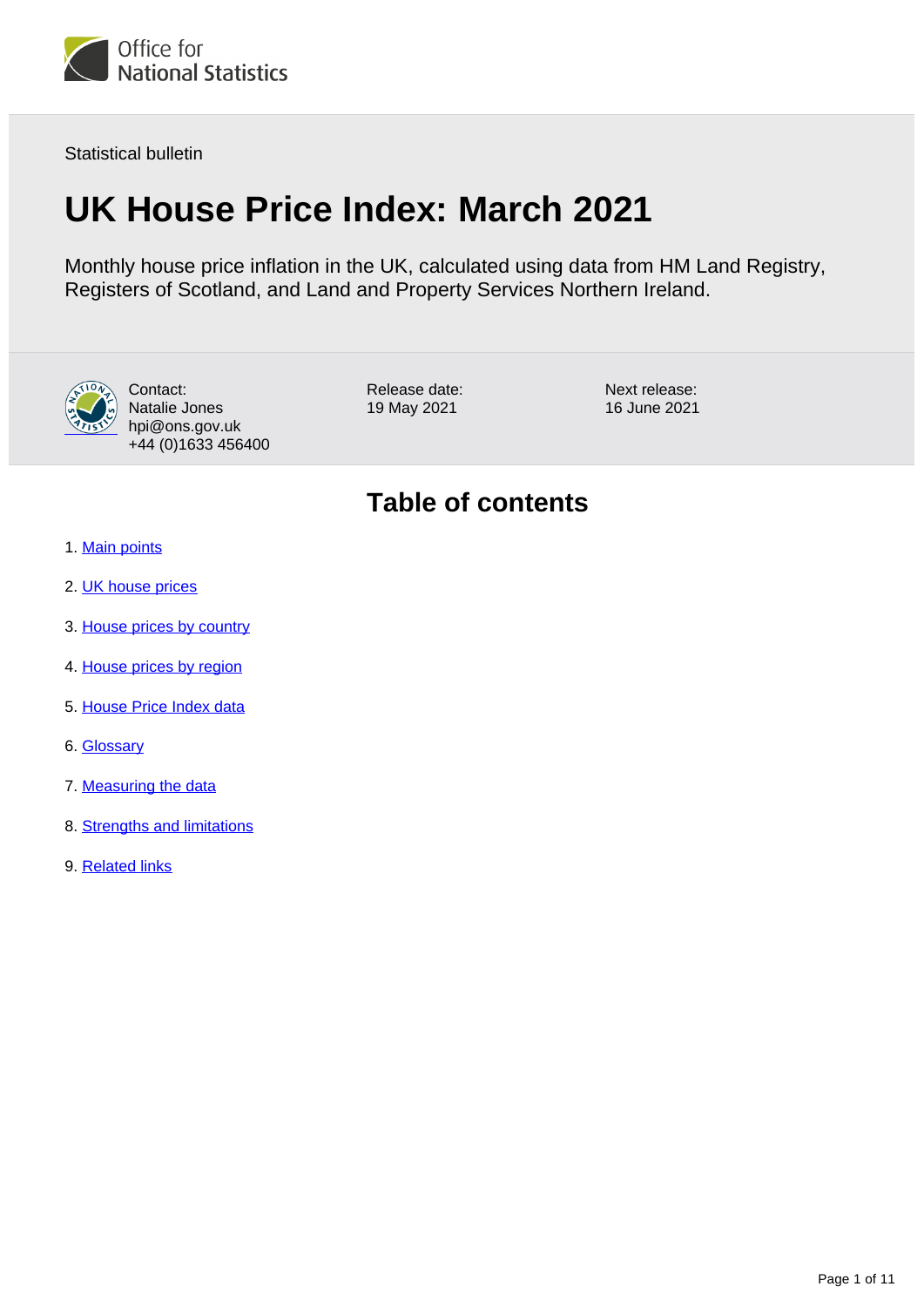

Statistical bulletin

# **UK House Price Index: March 2021**

Monthly house price inflation in the UK, calculated using data from HM Land Registry, Registers of Scotland, and Land and Property Services Northern Ireland.



Contact: Natalie Jones hpi@ons.gov.uk +44 (0)1633 456400

Release date: 19 May 2021

Next release: 16 June 2021

## **Table of contents**

- 1. [Main points](#page-1-0)
- 2. [UK house prices](#page-1-1)
- 3. [House prices by country](#page-4-0)
- 4. [House prices by region](#page-5-0)
- 5. [House Price Index data](#page-7-0)
- 6. [Glossary](#page-7-1)
- 7. [Measuring the data](#page-7-2)
- 8. [Strengths and limitations](#page-9-0)
- 9. [Related links](#page-10-0)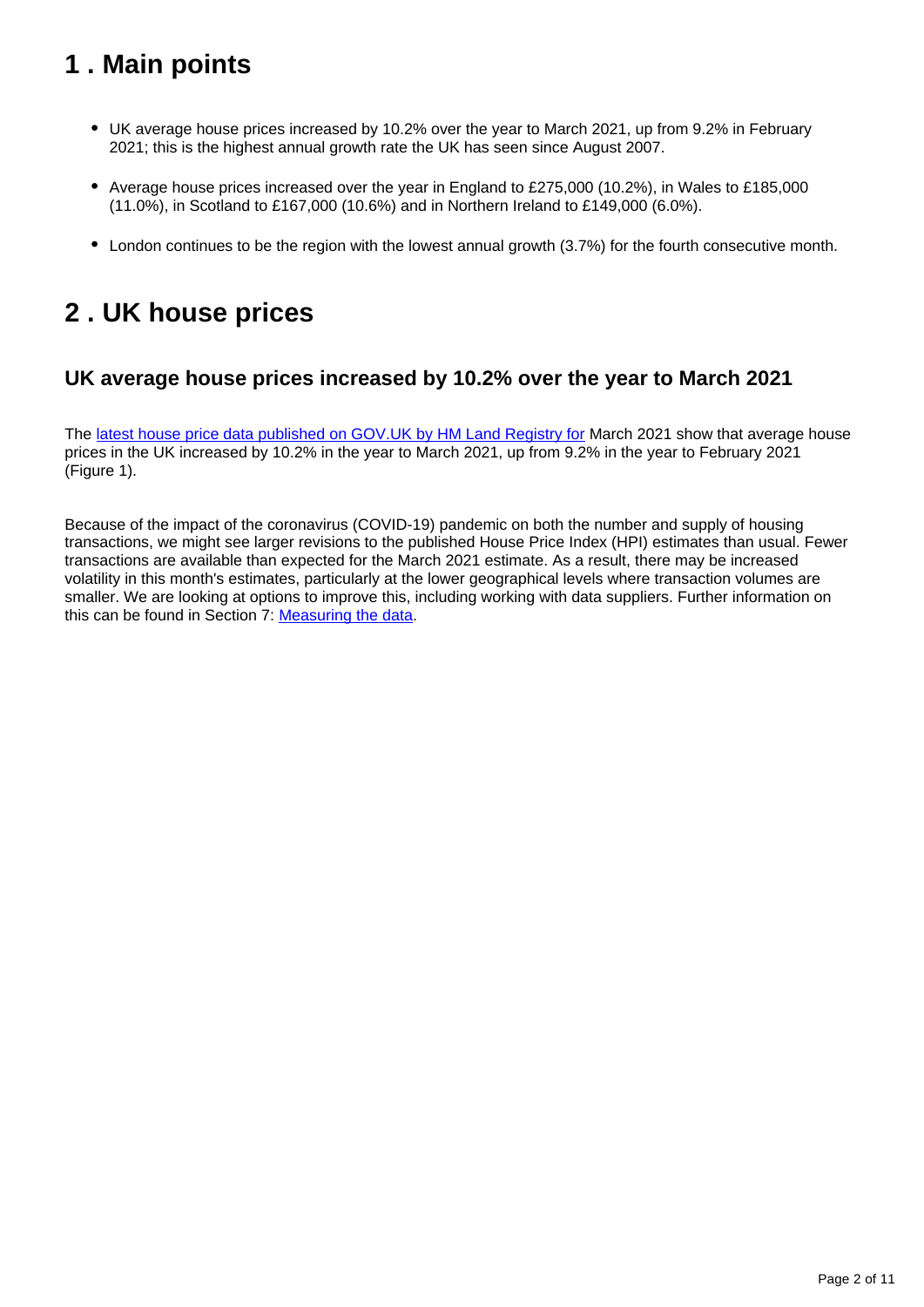## <span id="page-1-0"></span>**1 . Main points**

- UK average house prices increased by 10.2% over the year to March 2021, up from 9.2% in February 2021; this is the highest annual growth rate the UK has seen since August 2007.
- Average house prices increased over the year in England to £275,000 (10.2%), in Wales to £185,000 (11.0%), in Scotland to £167,000 (10.6%) and in Northern Ireland to £149,000 (6.0%).
- London continues to be the region with the lowest annual growth (3.7%) for the fourth consecutive month.

## <span id="page-1-1"></span>**2 . UK house prices**

## **UK average house prices increased by 10.2% over the year to March 2021**

The [latest house price data published on GOV.UK by HM Land Registry for](https://www.gov.uk/government/collections/uk-house-price-index-reports) March 2021 show that average house prices in the UK increased by 10.2% in the year to March 2021, up from 9.2% in the year to February 2021 (Figure 1).

Because of the impact of the coronavirus (COVID-19) pandemic on both the number and supply of housing transactions, we might see larger revisions to the published House Price Index (HPI) estimates than usual. Fewer transactions are available than expected for the March 2021 estimate. As a result, there may be increased volatility in this month's estimates, particularly at the lower geographical levels where transaction volumes are smaller. We are looking at options to improve this, including working with data suppliers. Further information on this can be found in Section 7: [Measuring the data](https://www.ons.gov.uk/economy/inflationandpriceindices/bulletins/housepriceindex/march2021#measuring-the-data).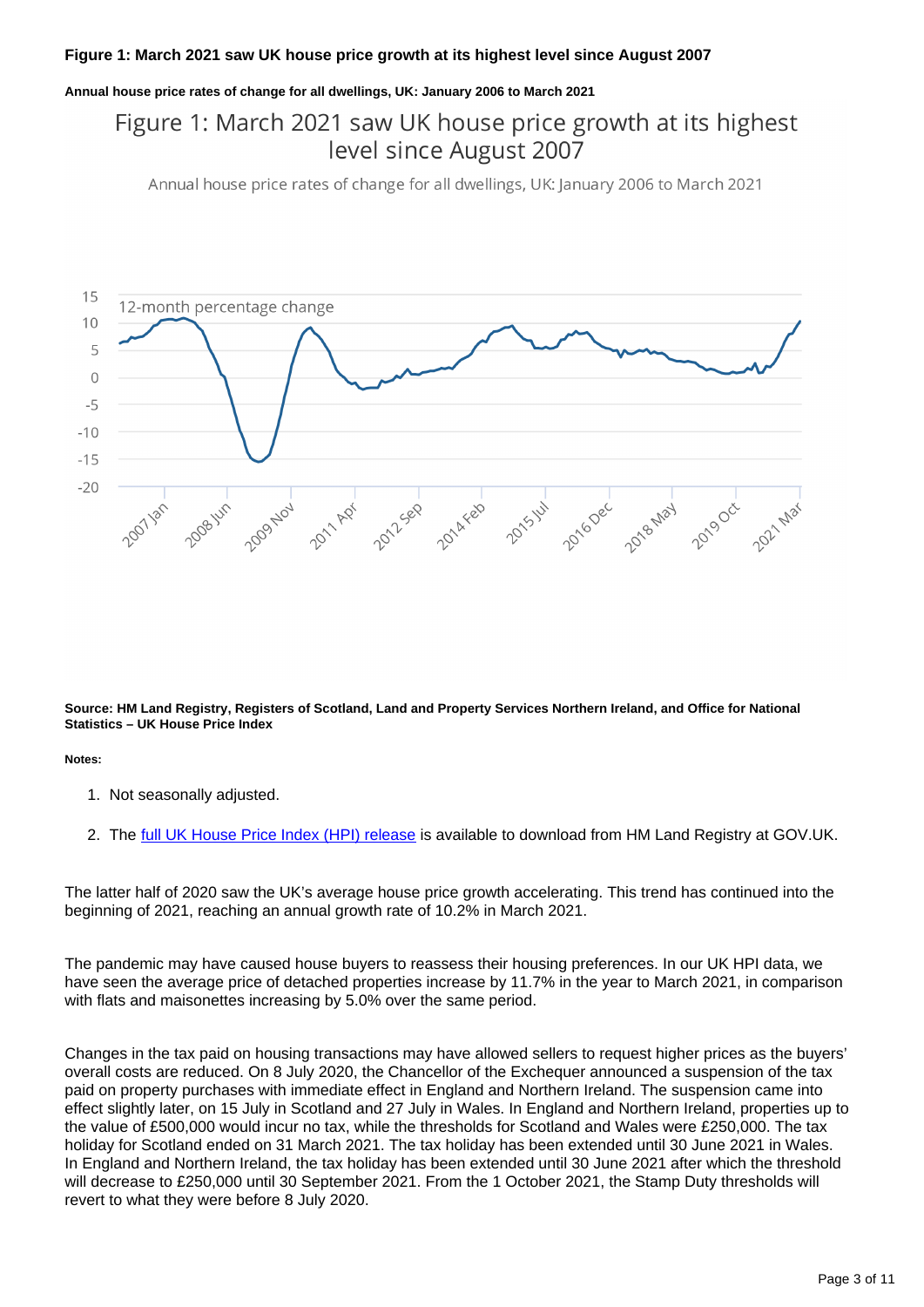#### **Figure 1: March 2021 saw UK house price growth at its highest level since August 2007**

#### **Annual house price rates of change for all dwellings, UK: January 2006 to March 2021**

## Figure 1: March 2021 saw UK house price growth at its highest level since August 2007

Annual house price rates of change for all dwellings, UK: January 2006 to March 2021



**Source: HM Land Registry, Registers of Scotland, Land and Property Services Northern Ireland, and Office for National Statistics – UK House Price Index**

**Notes:**

- 1. Not seasonally adjusted.
- 2. The <u>[full UK House Price Index \(HPI\) release](https://www.gov.uk/government/collections/uk-house-price-index-reports)</u> is available to download from HM Land Registry at GOV.UK.

The latter half of 2020 saw the UK's average house price growth accelerating. This trend has continued into the beginning of 2021, reaching an annual growth rate of 10.2% in March 2021.

The pandemic may have caused house buyers to reassess their housing preferences. In our UK HPI data, we have seen the average price of detached properties increase by 11.7% in the year to March 2021, in comparison with flats and maisonettes increasing by 5.0% over the same period.

Changes in the tax paid on housing transactions may have allowed sellers to request higher prices as the buyers' overall costs are reduced. On 8 July 2020, the Chancellor of the Exchequer announced a suspension of the tax paid on property purchases with immediate effect in England and Northern Ireland. The suspension came into effect slightly later, on 15 July in Scotland and 27 July in Wales. In England and Northern Ireland, properties up to the value of £500,000 would incur no tax, while the thresholds for Scotland and Wales were £250,000. The tax holiday for Scotland ended on 31 March 2021. The tax holiday has been extended until 30 June 2021 in Wales. In England and Northern Ireland, the tax holiday has been extended until 30 June 2021 after which the threshold will decrease to £250,000 until 30 September 2021. From the 1 October 2021, the Stamp Duty thresholds will revert to what they were before 8 July 2020.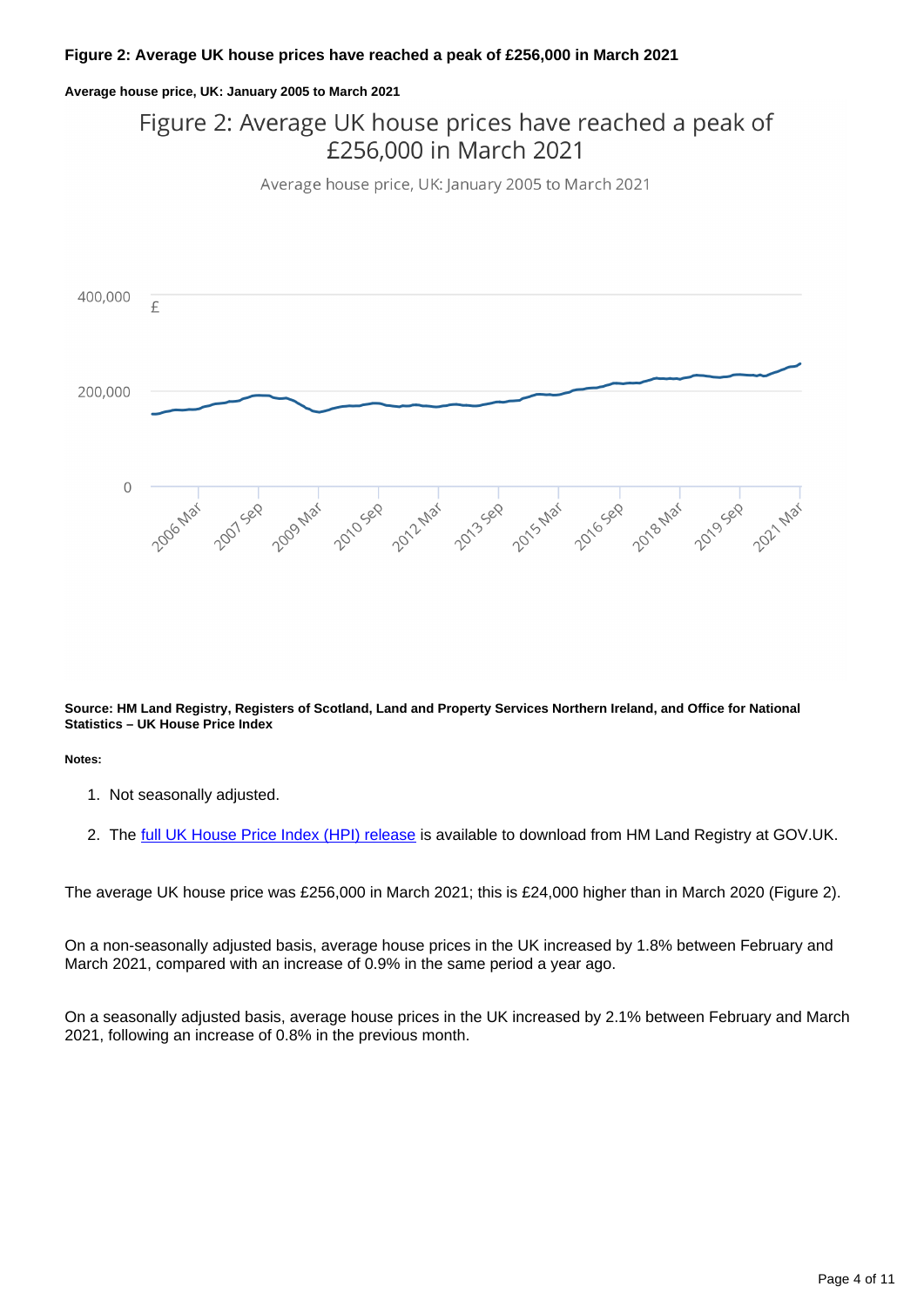#### **Figure 2: Average UK house prices have reached a peak of £256,000 in March 2021**

#### **Average house price, UK: January 2005 to March 2021**

## Figure 2: Average UK house prices have reached a peak of £256,000 in March 2021

Average house price, UK: January 2005 to March 2021



**Source: HM Land Registry, Registers of Scotland, Land and Property Services Northern Ireland, and Office for National Statistics – UK House Price Index**

**Notes:**

- 1. Not seasonally adjusted.
- 2. The <u>[full UK House Price Index \(HPI\) release](https://www.gov.uk/government/collections/uk-house-price-index-reports)</u> is available to download from HM Land Registry at GOV.UK.

The average UK house price was £256,000 in March 2021; this is £24,000 higher than in March 2020 (Figure 2).

On a non-seasonally adjusted basis, average house prices in the UK increased by 1.8% between February and March 2021, compared with an increase of 0.9% in the same period a year ago.

On a seasonally adjusted basis, average house prices in the UK increased by 2.1% between February and March 2021, following an increase of 0.8% in the previous month.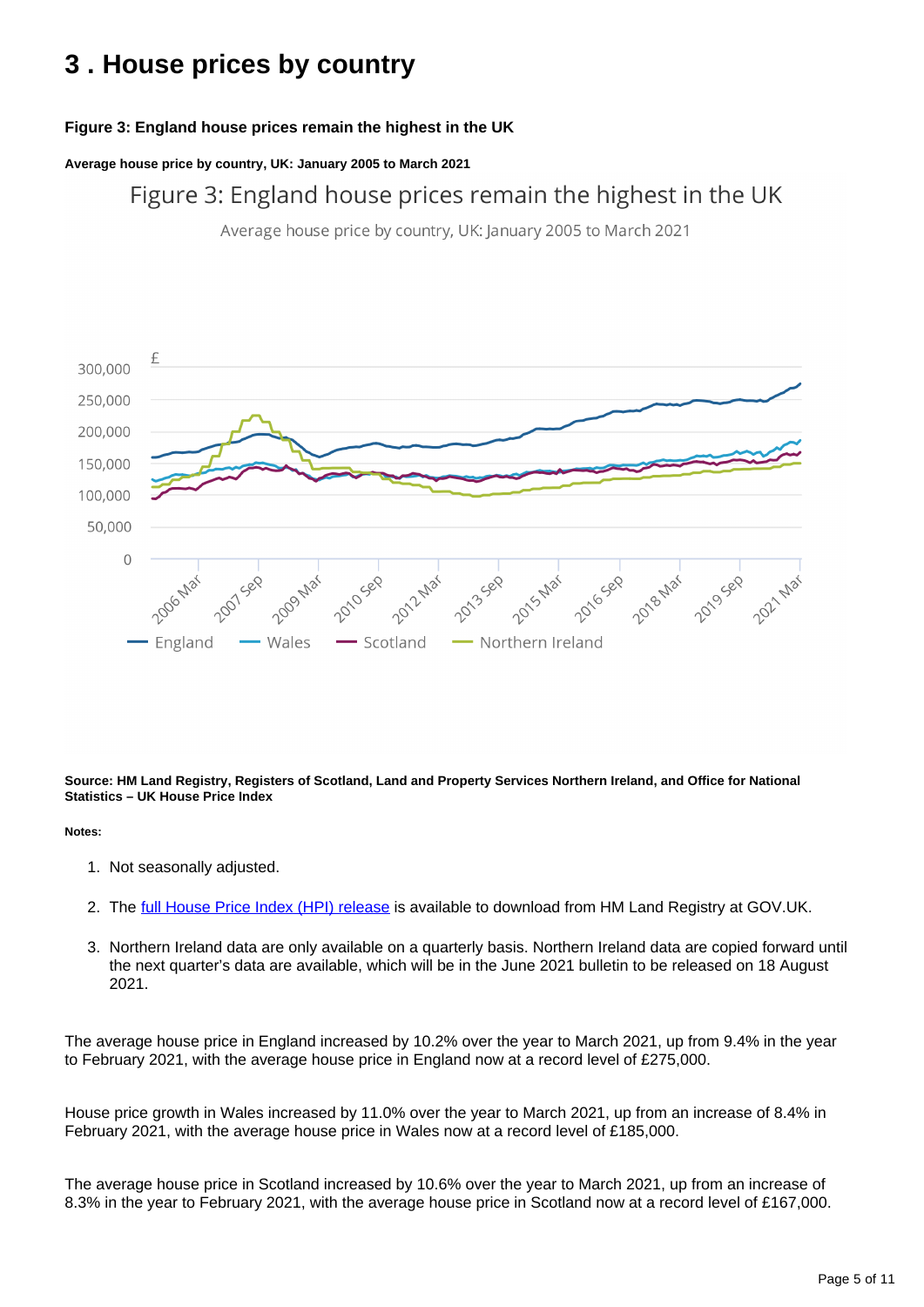## <span id="page-4-0"></span>**3 . House prices by country**

### **Figure 3: England house prices remain the highest in the UK**

**Average house price by country, UK: January 2005 to March 2021**

Figure 3: England house prices remain the highest in the UK

Average house price by country, UK: January 2005 to March 2021



**Source: HM Land Registry, Registers of Scotland, Land and Property Services Northern Ireland, and Office for National Statistics – UK House Price Index**

#### **Notes:**

- 1. Not seasonally adjusted.
- 2. The <u>[full House Price Index \(HPI\) release](https://www.gov.uk/government/collections/uk-house-price-index-reports)</u> is available to download from HM Land Registry at GOV.UK.
- 3. Northern Ireland data are only available on a quarterly basis. Northern Ireland data are copied forward until the next quarter's data are available, which will be in the June 2021 bulletin to be released on 18 August 2021.

The average house price in England increased by 10.2% over the year to March 2021, up from 9.4% in the year to February 2021, with the average house price in England now at a record level of £275,000.

House price growth in Wales increased by 11.0% over the year to March 2021, up from an increase of 8.4% in February 2021, with the average house price in Wales now at a record level of £185,000.

The average house price in Scotland increased by 10.6% over the year to March 2021, up from an increase of 8.3% in the year to February 2021, with the average house price in Scotland now at a record level of £167,000.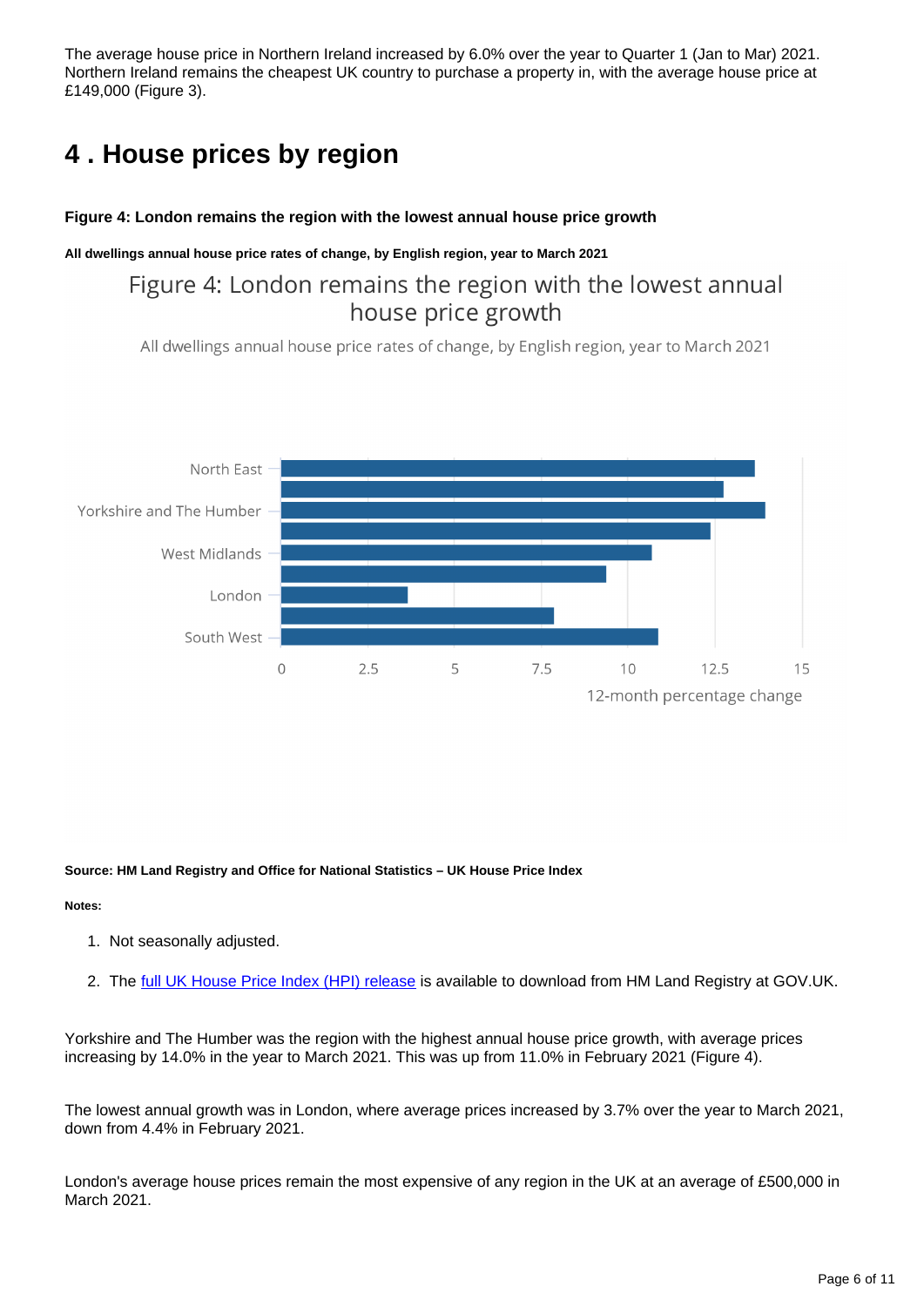The average house price in Northern Ireland increased by 6.0% over the year to Quarter 1 (Jan to Mar) 2021. Northern Ireland remains the cheapest UK country to purchase a property in, with the average house price at £149,000 (Figure 3).

## <span id="page-5-0"></span>**4 . House prices by region**

#### **Figure 4: London remains the region with the lowest annual house price growth**

#### **All dwellings annual house price rates of change, by English region, year to March 2021**

## Figure 4: London remains the region with the lowest annual house price growth

All dwellings annual house price rates of change, by English region, year to March 2021



**Source: HM Land Registry and Office for National Statistics – UK House Price Index**

#### **Notes:**

- 1. Not seasonally adjusted.
- 2. The <u>[full UK House Price Index \(HPI\) release](https://www.gov.uk/government/collections/uk-house-price-index-reports)</u> is available to download from HM Land Registry at GOV.UK.

Yorkshire and The Humber was the region with the highest annual house price growth, with average prices increasing by 14.0% in the year to March 2021. This was up from 11.0% in February 2021 (Figure 4).

The lowest annual growth was in London, where average prices increased by 3.7% over the year to March 2021, down from 4.4% in February 2021.

London's average house prices remain the most expensive of any region in the UK at an average of £500,000 in March 2021.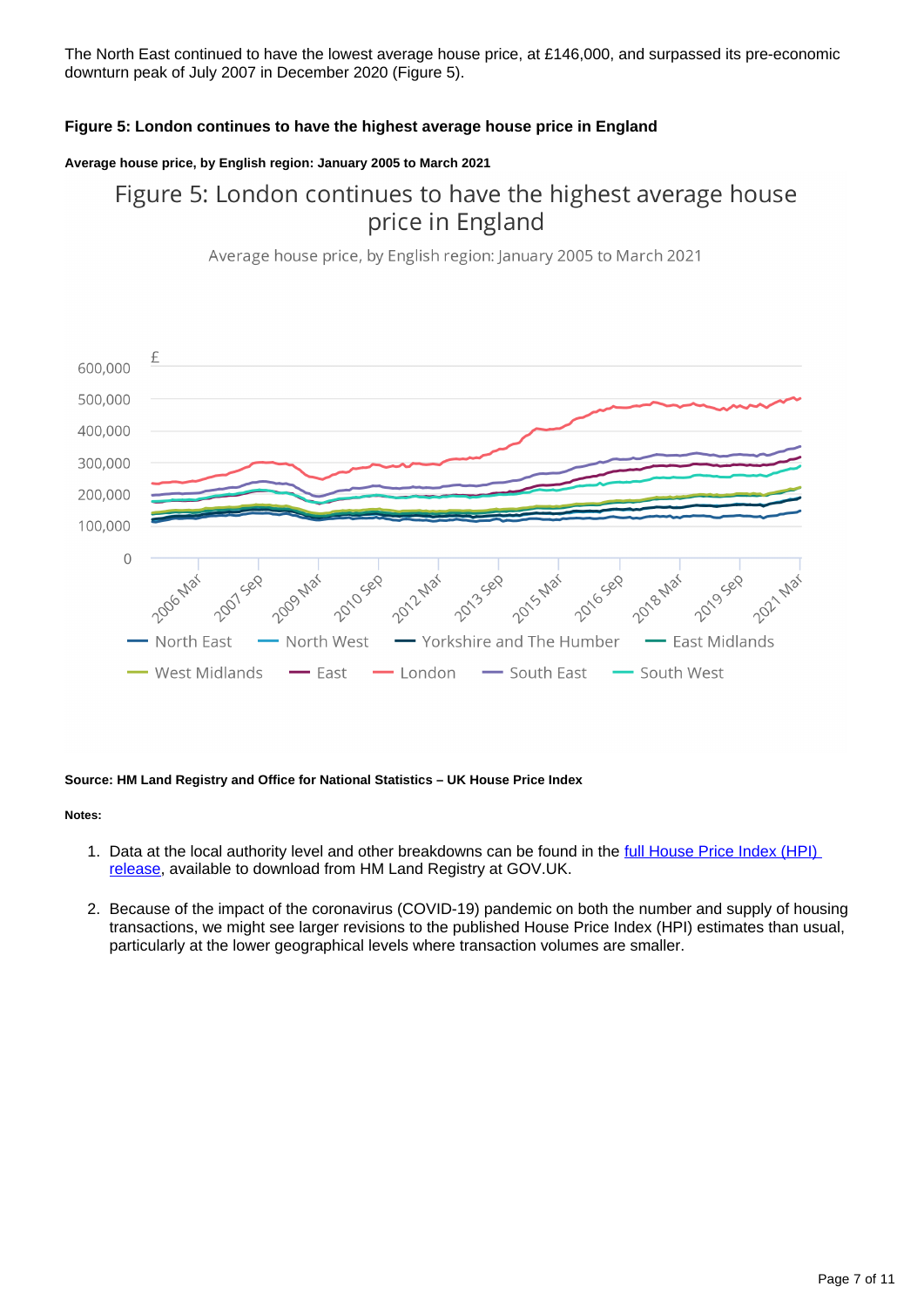The North East continued to have the lowest average house price, at £146,000, and surpassed its pre-economic downturn peak of July 2007 in December 2020 (Figure 5).

#### **Figure 5: London continues to have the highest average house price in England**

#### **Average house price, by English region: January 2005 to March 2021**

## Figure 5: London continues to have the highest average house price in England

Average house price, by English region: January 2005 to March 2021



#### **Source: HM Land Registry and Office for National Statistics – UK House Price Index**

#### **Notes:**

- 1. Data at the local authority level and other breakdowns can be found in the full House Price Index (HPI) [release,](https://www.gov.uk/government/collections/uk-house-price-index-reports) available to download from HM Land Registry at GOV.UK.
- 2. Because of the impact of the coronavirus (COVID-19) pandemic on both the number and supply of housing transactions, we might see larger revisions to the published House Price Index (HPI) estimates than usual, particularly at the lower geographical levels where transaction volumes are smaller.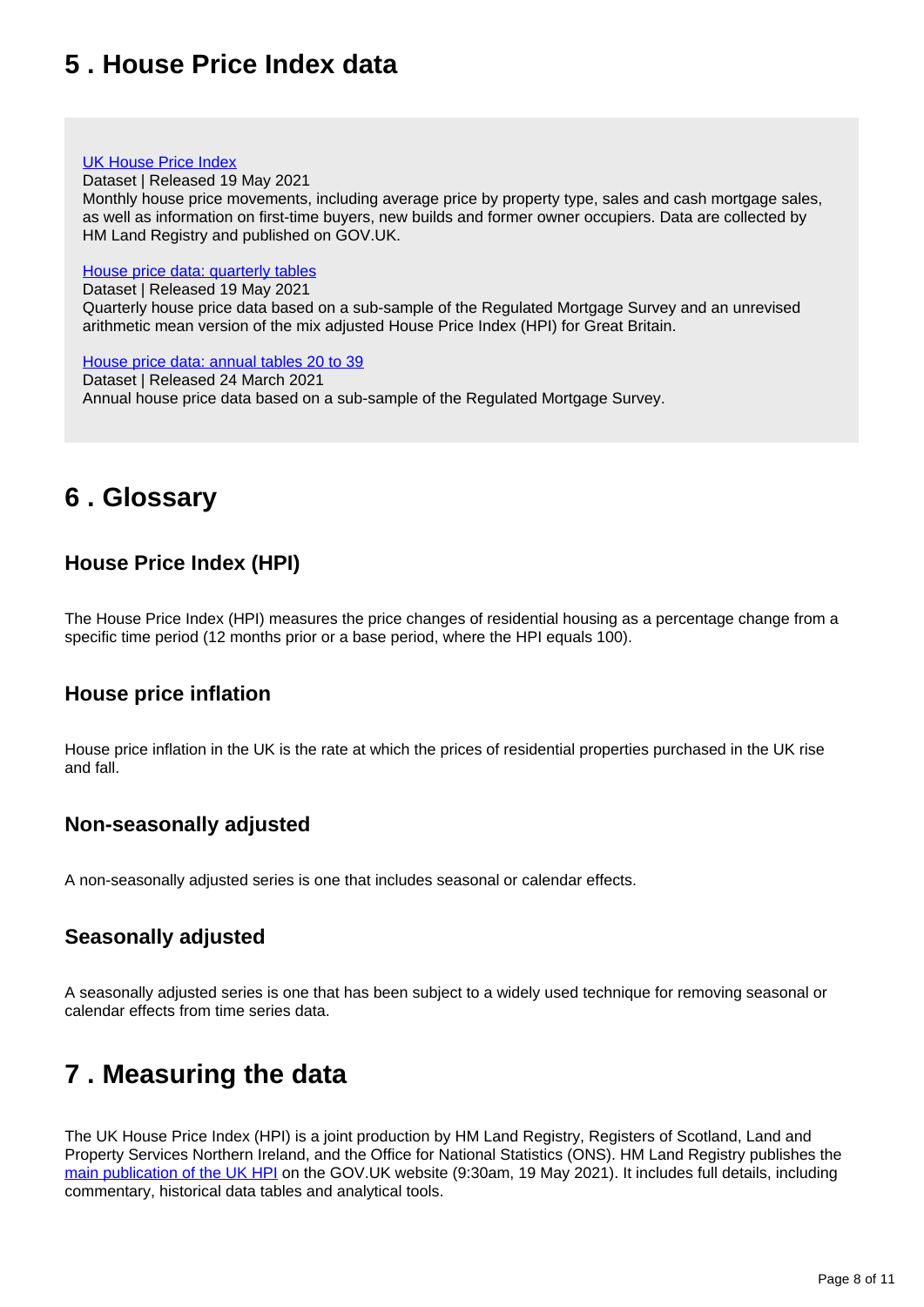## <span id="page-7-0"></span>**5 . House Price Index data**

#### [UK House Price Index](https://www.gov.uk/government/statistical-data-sets/uk-house-price-index-data-downloads-march-2021)

Dataset | Released 19 May 2021

Monthly house price movements, including average price by property type, sales and cash mortgage sales, as well as information on first-time buyers, new builds and former owner occupiers. Data are collected by HM Land Registry and published on GOV.UK.

#### [House price data: quarterly tables](https://www.ons.gov.uk/economy/inflationandpriceindices/datasets/housepriceindexmonthlyquarterlytables1to19)

Dataset | Released 19 May 2021

Quarterly house price data based on a sub-sample of the Regulated Mortgage Survey and an unrevised arithmetic mean version of the mix adjusted House Price Index (HPI) for Great Britain.

#### [House price data: annual tables 20 to 39](https://www.ons.gov.uk/economy/inflationandpriceindices/datasets/housepriceindexannualtables2039)

Dataset | Released 24 March 2021 Annual house price data based on a sub-sample of the Regulated Mortgage Survey.

## <span id="page-7-1"></span>**6 . Glossary**

## **House Price Index (HPI)**

The House Price Index (HPI) measures the price changes of residential housing as a percentage change from a specific time period (12 months prior or a base period, where the HPI equals 100).

### **House price inflation**

House price inflation in the UK is the rate at which the prices of residential properties purchased in the UK rise and fall.

### **Non-seasonally adjusted**

A non-seasonally adjusted series is one that includes seasonal or calendar effects.

### **Seasonally adjusted**

A seasonally adjusted series is one that has been subject to a widely used technique for removing seasonal or calendar effects from time series data.

## <span id="page-7-2"></span>**7 . Measuring the data**

The UK House Price Index (HPI) is a joint production by HM Land Registry, Registers of Scotland, Land and Property Services Northern Ireland, and the Office for National Statistics (ONS). HM Land Registry publishes the [main publication of the UK HPI](https://www.gov.uk/government/collections/uk-house-price-index-reports) on the GOV.UK website (9:30am, 19 May 2021). It includes full details, including commentary, historical data tables and analytical tools.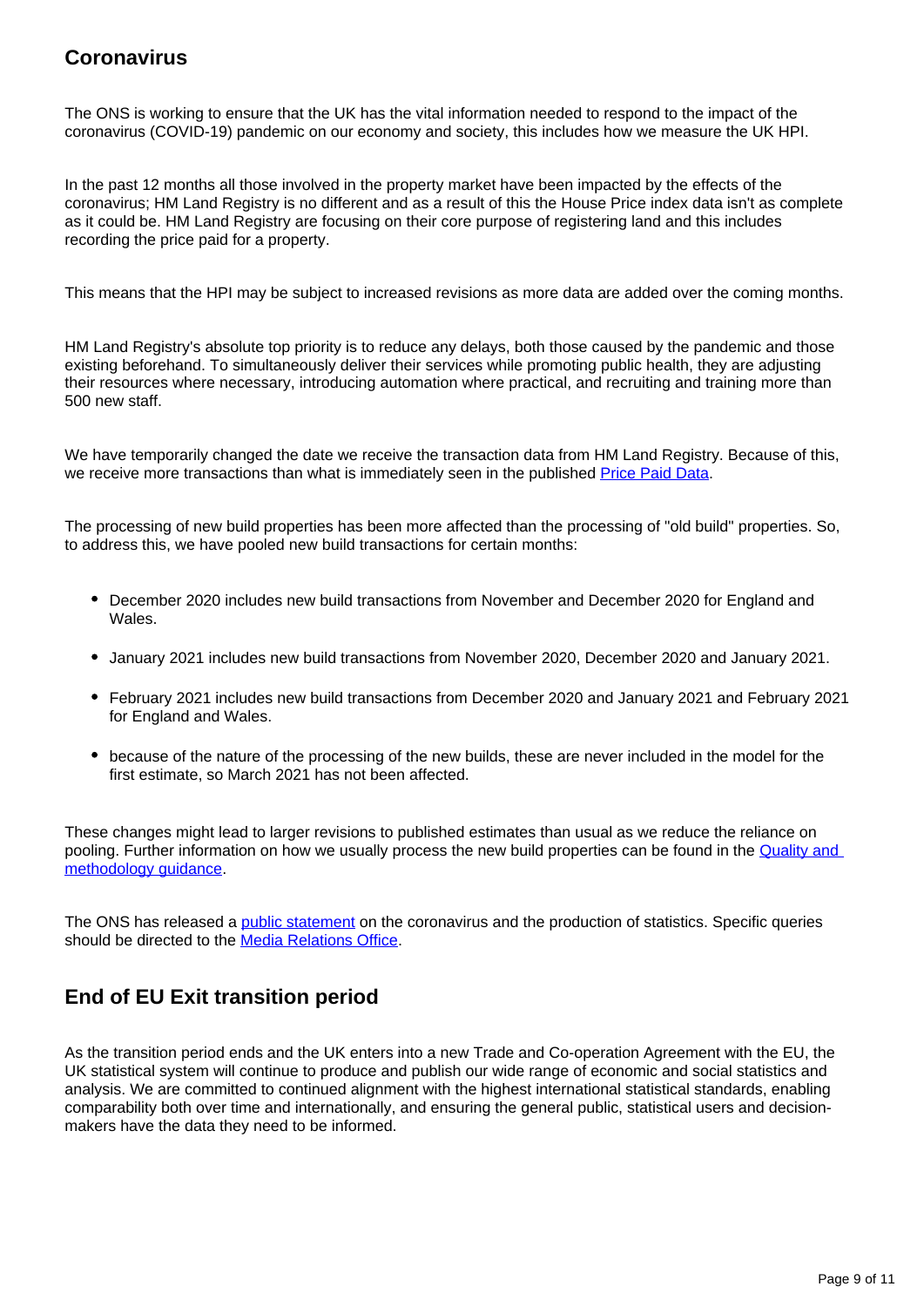## **Coronavirus**

The ONS is working to ensure that the UK has the vital information needed to respond to the impact of the coronavirus (COVID-19) pandemic on our economy and society, this includes how we measure the UK HPI.

In the past 12 months all those involved in the property market have been impacted by the effects of the coronavirus; HM Land Registry is no different and as a result of this the House Price index data isn't as complete as it could be. HM Land Registry are focusing on their core purpose of registering land and this includes recording the price paid for a property.

This means that the HPI may be subject to increased revisions as more data are added over the coming months.

HM Land Registry's absolute top priority is to reduce any delays, both those caused by the pandemic and those existing beforehand. To simultaneously deliver their services while promoting public health, they are adjusting their resources where necessary, introducing automation where practical, and recruiting and training more than 500 new staff.

We have temporarily changed the date we receive the transaction data from HM Land Registry. Because of this, we receive more transactions than what is immediately seen in the published [Price Paid Data.](https://www.gov.uk/government/statistical-data-sets/price-paid-data-downloads)

The processing of new build properties has been more affected than the processing of "old build" properties. So, to address this, we have pooled new build transactions for certain months:

- December 2020 includes new build transactions from November and December 2020 for England and Wales.
- January 2021 includes new build transactions from November 2020, December 2020 and January 2021.
- February 2021 includes new build transactions from December 2020 and January 2021 and February 2021 for England and Wales.
- because of the nature of the processing of the new builds, these are never included in the model for the first estimate, so March 2021 has not been affected.

These changes might lead to larger revisions to published estimates than usual as we reduce the reliance on pooling. Further information on how we usually process the new build properties can be found in the [Quality and](https://www.gov.uk/government/publications/about-the-uk-house-price-index/quality-and-methodology)  [methodology guidance](https://www.gov.uk/government/publications/about-the-uk-house-price-index/quality-and-methodology).

The ONS has released a *public statement* on the coronavirus and the production of statistics. Specific queries should be directed to the [Media Relations Office.](mailto:media.relations@ons.gov.uk)

## **End of EU Exit transition period**

As the transition period ends and the UK enters into a new Trade and Co-operation Agreement with the EU, the UK statistical system will continue to produce and publish our wide range of economic and social statistics and analysis. We are committed to continued alignment with the highest international statistical standards, enabling comparability both over time and internationally, and ensuring the general public, statistical users and decisionmakers have the data they need to be informed.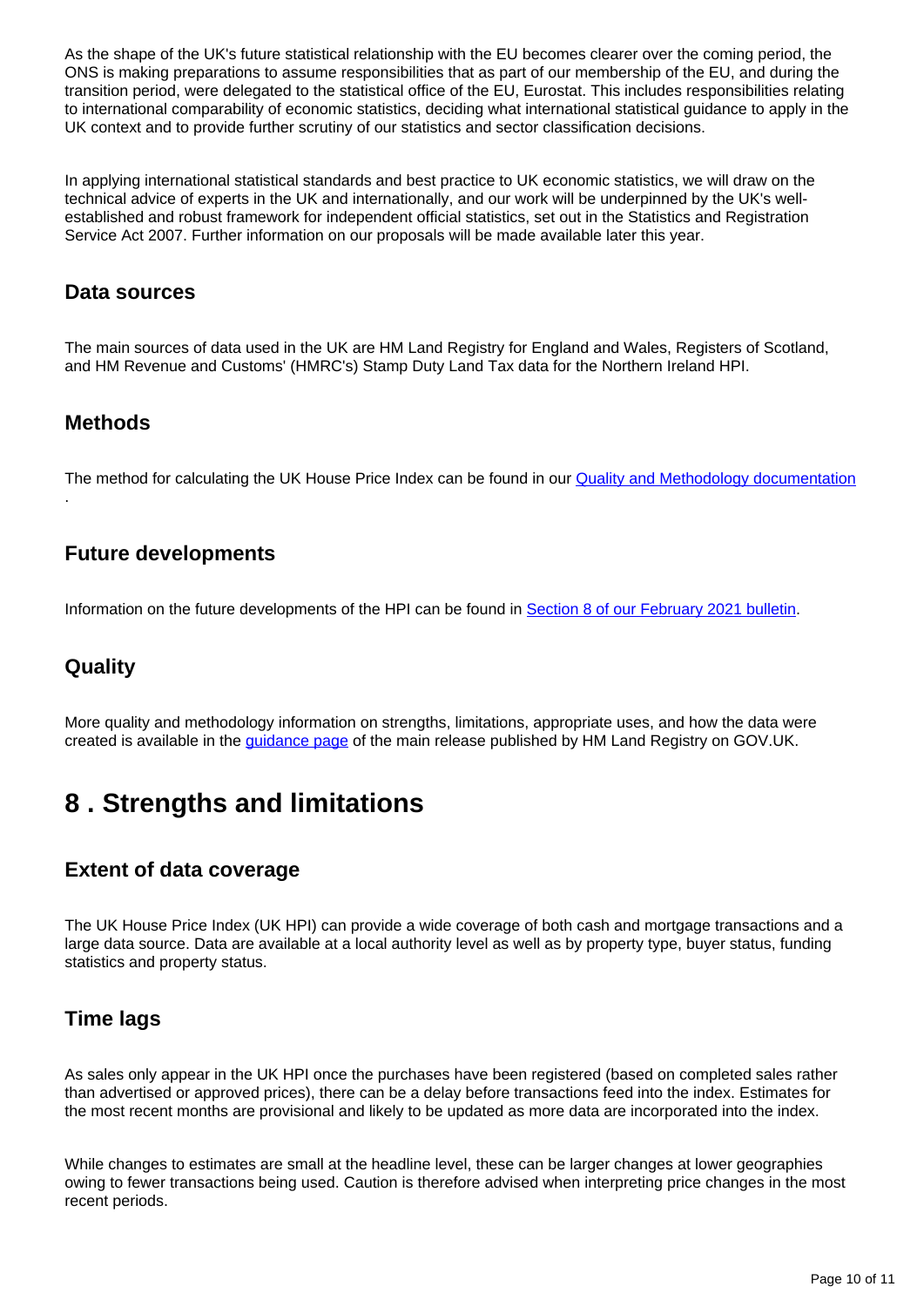As the shape of the UK's future statistical relationship with the EU becomes clearer over the coming period, the ONS is making preparations to assume responsibilities that as part of our membership of the EU, and during the transition period, were delegated to the statistical office of the EU, Eurostat. This includes responsibilities relating to international comparability of economic statistics, deciding what international statistical guidance to apply in the UK context and to provide further scrutiny of our statistics and sector classification decisions.

In applying international statistical standards and best practice to UK economic statistics, we will draw on the technical advice of experts in the UK and internationally, and our work will be underpinned by the UK's wellestablished and robust framework for independent official statistics, set out in the Statistics and Registration Service Act 2007. Further information on our proposals will be made available later this year.

### **Data sources**

The main sources of data used in the UK are HM Land Registry for England and Wales, Registers of Scotland, and HM Revenue and Customs' (HMRC's) Stamp Duty Land Tax data for the Northern Ireland HPI.

### **Methods**

.

The method for calculating the UK House Price Index can be found in our **Quality and Methodology documentation** 

### **Future developments**

Information on the future developments of the HPI can be found in [Section 8 of our February 2021 bulletin](https://www.ons.gov.uk/economy/inflationandpriceindices/bulletins/housepriceindex/february2021#measuring-the-data).

### **Quality**

More quality and methodology information on strengths, limitations, appropriate uses, and how the data were created is available in the [guidance page](https://www.gov.uk/government/publications/about-the-uk-house-price-index) of the main release published by HM Land Registry on GOV.UK.

## <span id="page-9-0"></span>**8 . Strengths and limitations**

## **Extent of data coverage**

The UK House Price Index (UK HPI) can provide a wide coverage of both cash and mortgage transactions and a large data source. Data are available at a local authority level as well as by property type, buyer status, funding statistics and property status.

### **Time lags**

As sales only appear in the UK HPI once the purchases have been registered (based on completed sales rather than advertised or approved prices), there can be a delay before transactions feed into the index. Estimates for the most recent months are provisional and likely to be updated as more data are incorporated into the index.

While changes to estimates are small at the headline level, these can be larger changes at lower geographies owing to fewer transactions being used. Caution is therefore advised when interpreting price changes in the most recent periods.